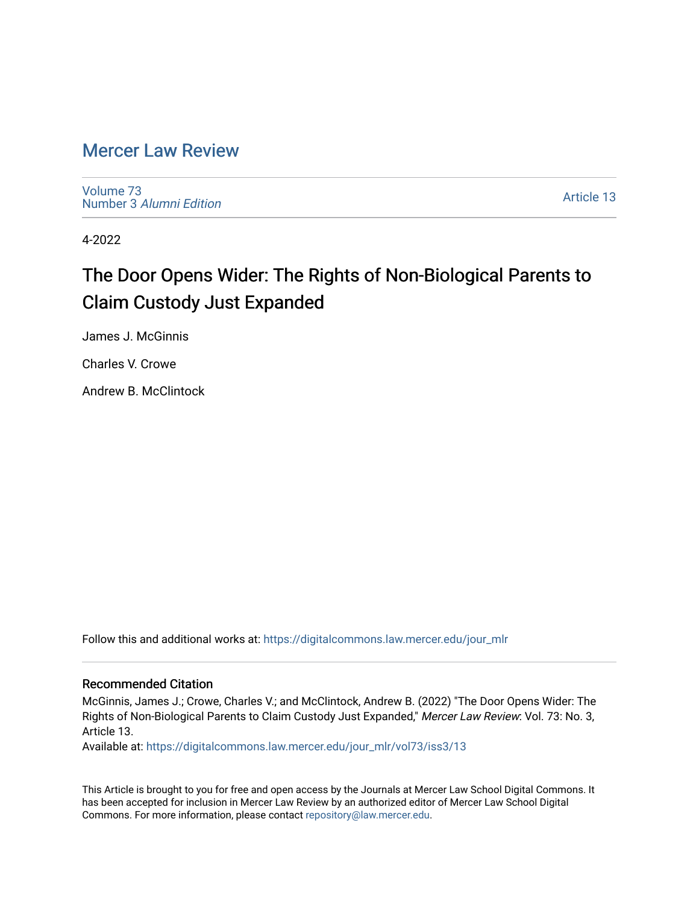# [Mercer Law Review](https://digitalcommons.law.mercer.edu/jour_mlr)

[Volume 73](https://digitalcommons.law.mercer.edu/jour_mlr/vol73) Number 3 [Alumni Edition](https://digitalcommons.law.mercer.edu/jour_mlr/vol73/iss3) 

[Article 13](https://digitalcommons.law.mercer.edu/jour_mlr/vol73/iss3/13) 

4-2022

# The Door Opens Wider: The Rights of Non-Biological Parents to Claim Custody Just Expanded

James J. McGinnis

Charles V. Crowe

Andrew B. McClintock

Follow this and additional works at: [https://digitalcommons.law.mercer.edu/jour\\_mlr](https://digitalcommons.law.mercer.edu/jour_mlr?utm_source=digitalcommons.law.mercer.edu%2Fjour_mlr%2Fvol73%2Fiss3%2F13&utm_medium=PDF&utm_campaign=PDFCoverPages)

## Recommended Citation

McGinnis, James J.; Crowe, Charles V.; and McClintock, Andrew B. (2022) "The Door Opens Wider: The Rights of Non-Biological Parents to Claim Custody Just Expanded," Mercer Law Review: Vol. 73: No. 3, Article 13.

Available at: [https://digitalcommons.law.mercer.edu/jour\\_mlr/vol73/iss3/13](https://digitalcommons.law.mercer.edu/jour_mlr/vol73/iss3/13?utm_source=digitalcommons.law.mercer.edu%2Fjour_mlr%2Fvol73%2Fiss3%2F13&utm_medium=PDF&utm_campaign=PDFCoverPages) 

This Article is brought to you for free and open access by the Journals at Mercer Law School Digital Commons. It has been accepted for inclusion in Mercer Law Review by an authorized editor of Mercer Law School Digital Commons. For more information, please contact [repository@law.mercer.edu.](mailto:repository@law.mercer.edu)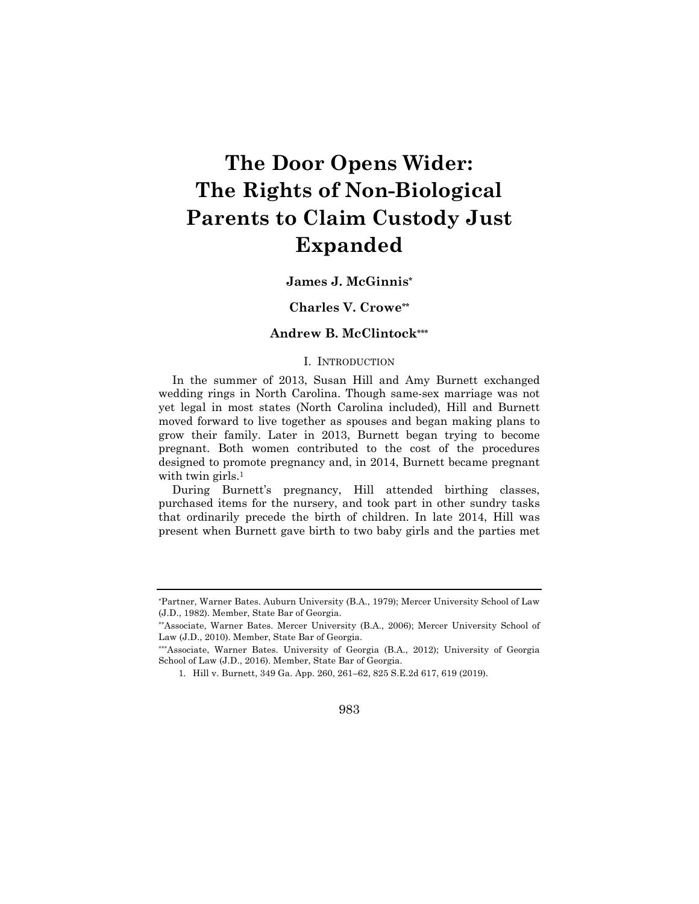# **The Door Opens Wider: The Rights of Non-Biological Parents to Claim Custody Just Expanded**

# **James J. McGinnis\***

# **Charles V. Crowe\*\***

## **Andrew B. McClintock\*\*\***

#### I. INTRODUCTION

In the summer of 2013, Susan Hill and Amy Burnett exchanged wedding rings in North Carolina. Though same-sex marriage was not yet legal in most states (North Carolina included), Hill and Burnett moved forward to live together as spouses and began making plans to grow their family. Later in 2013, Burnett began trying to become pregnant. Both women contributed to the cost of the procedures designed to promote pregnancy and, in 2014, Burnett became pregnant with twin girls.<sup>1</sup>

During Burnett's pregnancy, Hill attended birthing classes, purchased items for the nursery, and took part in other sundry tasks that ordinarily precede the birth of children. In late 2014, Hill was present when Burnett gave birth to two baby girls and the parties met

#### 983

<sup>\*</sup>Partner, Warner Bates. Auburn University (B.A., 1979); Mercer University School of Law (J.D., 1982). Member, State Bar of Georgia.

<sup>\*\*</sup>Associate, Warner Bates. Mercer University (B.A., 2006); Mercer University School of Law (J.D., 2010). Member, State Bar of Georgia.

<sup>\*\*\*</sup>Associate, Warner Bates. University of Georgia (B.A., 2012); University of Georgia School of Law (J.D., 2016). Member, State Bar of Georgia.

<sup>1.</sup> Hill v. Burnett, 349 Ga. App. 260, 261–62, 825 S.E.2d 617, 619 (2019).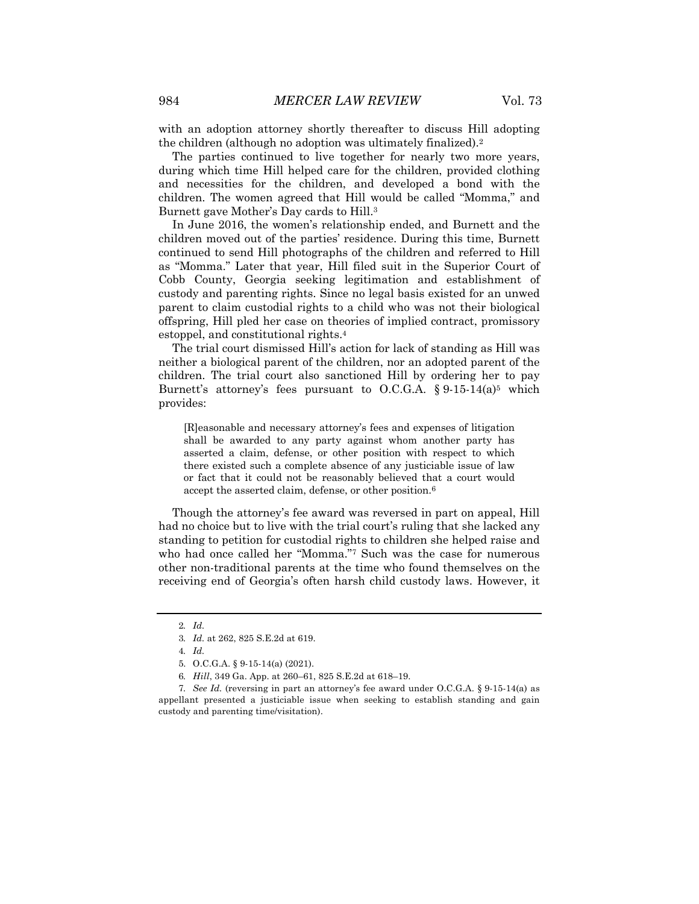with an adoption attorney shortly thereafter to discuss Hill adopting the children (although no adoption was ultimately finalized).2

The parties continued to live together for nearly two more years, during which time Hill helped care for the children, provided clothing and necessities for the children, and developed a bond with the children. The women agreed that Hill would be called "Momma," and Burnett gave Mother's Day cards to Hill.3

In June 2016, the women's relationship ended, and Burnett and the children moved out of the parties' residence. During this time, Burnett continued to send Hill photographs of the children and referred to Hill as "Momma." Later that year, Hill filed suit in the Superior Court of Cobb County, Georgia seeking legitimation and establishment of custody and parenting rights. Since no legal basis existed for an unwed parent to claim custodial rights to a child who was not their biological offspring, Hill pled her case on theories of implied contract, promissory estoppel, and constitutional rights.4

The trial court dismissed Hill's action for lack of standing as Hill was neither a biological parent of the children, nor an adopted parent of the children. The trial court also sanctioned Hill by ordering her to pay Burnett's attorney's fees pursuant to O.C.G.A.  $\S 9-15-14(a)^5$  which provides:

[R]easonable and necessary attorney's fees and expenses of litigation shall be awarded to any party against whom another party has asserted a claim, defense, or other position with respect to which there existed such a complete absence of any justiciable issue of law or fact that it could not be reasonably believed that a court would accept the asserted claim, defense, or other position.6

Though the attorney's fee award was reversed in part on appeal, Hill had no choice but to live with the trial court's ruling that she lacked any standing to petition for custodial rights to children she helped raise and who had once called her "Momma."7 Such was the case for numerous other non-traditional parents at the time who found themselves on the receiving end of Georgia's often harsh child custody laws. However, it

<sup>2</sup>*. Id.*

<sup>3</sup>*. Id.* at 262, 825 S.E.2d at 619.

<sup>4</sup>*. Id.*

<sup>5.</sup> O.C.G.A. § 9-15-14(a) (2021).

<sup>6</sup>*. Hill*, 349 Ga. App. at 260–61, 825 S.E.2d at 618–19.

<sup>7</sup>*. See Id.* (reversing in part an attorney's fee award under O.C.G.A. § 9-15-14(a) as appellant presented a justiciable issue when seeking to establish standing and gain custody and parenting time/visitation).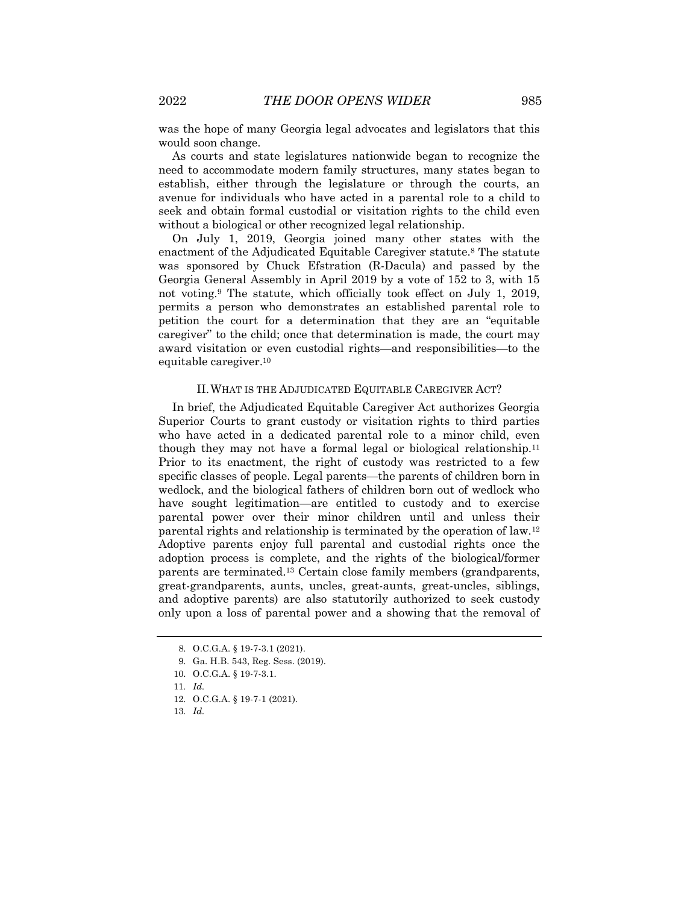was the hope of many Georgia legal advocates and legislators that this would soon change.

As courts and state legislatures nationwide began to recognize the need to accommodate modern family structures, many states began to establish, either through the legislature or through the courts, an avenue for individuals who have acted in a parental role to a child to seek and obtain formal custodial or visitation rights to the child even without a biological or other recognized legal relationship.

On July 1, 2019, Georgia joined many other states with the enactment of the Adjudicated Equitable Caregiver statute.8 The statute was sponsored by Chuck Efstration (R-Dacula) and passed by the Georgia General Assembly in April 2019 by a vote of 152 to 3, with 15 not voting.9 The statute, which officially took effect on July 1, 2019, permits a person who demonstrates an established parental role to petition the court for a determination that they are an "equitable caregiver" to the child; once that determination is made, the court may award visitation or even custodial rights—and responsibilities—to the equitable caregiver.10

### II.WHAT IS THE ADJUDICATED EQUITABLE CAREGIVER ACT?

In brief, the Adjudicated Equitable Caregiver Act authorizes Georgia Superior Courts to grant custody or visitation rights to third parties who have acted in a dedicated parental role to a minor child, even though they may not have a formal legal or biological relationship.11 Prior to its enactment, the right of custody was restricted to a few specific classes of people. Legal parents—the parents of children born in wedlock, and the biological fathers of children born out of wedlock who have sought legitimation—are entitled to custody and to exercise parental power over their minor children until and unless their parental rights and relationship is terminated by the operation of law.12 Adoptive parents enjoy full parental and custodial rights once the adoption process is complete, and the rights of the biological/former parents are terminated.13 Certain close family members (grandparents, great-grandparents, aunts, uncles, great-aunts, great-uncles, siblings, and adoptive parents) are also statutorily authorized to seek custody only upon a loss of parental power and a showing that the removal of

<sup>8.</sup> O.C.G.A. § 19-7-3.1 (2021).

<sup>9.</sup> Ga. H.B. 543, Reg. Sess. (2019).

<sup>10.</sup> O.C.G.A. § 19-7-3.1.

<sup>11</sup>*. Id.*

<sup>12.</sup> O.C.G.A. § 19-7-1 (2021).

<sup>13</sup>*. Id.*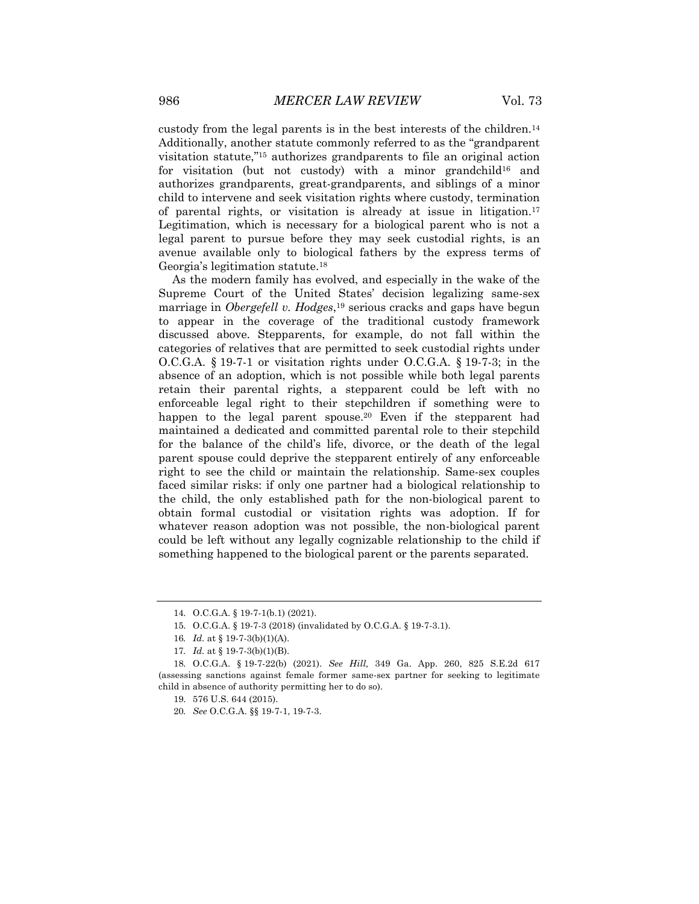custody from the legal parents is in the best interests of the children.14 Additionally, another statute commonly referred to as the "grandparent visitation statute,"15 authorizes grandparents to file an original action for visitation (but not custody) with a minor grandchild<sup>16</sup> and authorizes grandparents, great-grandparents, and siblings of a minor child to intervene and seek visitation rights where custody, termination of parental rights, or visitation is already at issue in litigation.17 Legitimation, which is necessary for a biological parent who is not a legal parent to pursue before they may seek custodial rights, is an avenue available only to biological fathers by the express terms of Georgia's legitimation statute.18

As the modern family has evolved, and especially in the wake of the Supreme Court of the United States' decision legalizing same-sex marriage in *Obergefell v. Hodges*,19 serious cracks and gaps have begun to appear in the coverage of the traditional custody framework discussed above. Stepparents, for example, do not fall within the categories of relatives that are permitted to seek custodial rights under O.C.G.A. § 19-7-1 or visitation rights under O.C.G.A. § 19-7-3; in the absence of an adoption, which is not possible while both legal parents retain their parental rights, a stepparent could be left with no enforceable legal right to their stepchildren if something were to happen to the legal parent spouse.<sup>20</sup> Even if the stepparent had maintained a dedicated and committed parental role to their stepchild for the balance of the child's life, divorce, or the death of the legal parent spouse could deprive the stepparent entirely of any enforceable right to see the child or maintain the relationship. Same-sex couples faced similar risks: if only one partner had a biological relationship to the child, the only established path for the non-biological parent to obtain formal custodial or visitation rights was adoption. If for whatever reason adoption was not possible, the non-biological parent could be left without any legally cognizable relationship to the child if something happened to the biological parent or the parents separated.

<sup>14.</sup> O.C.G.A. § 19-7-1(b.1) (2021).

<sup>15.</sup> O.C.G.A. § 19-7-3 (2018) (invalidated by O.C.G.A. § 19-7-3.1).

<sup>16</sup>*. Id.* at § 19-7-3(b)(1)(A).

<sup>17</sup>*. Id.* at § 19-7-3(b)(1)(B).

<sup>18.</sup> O.C.G.A. § 19-7-22(b) (2021). *See Hill,* 349 Ga. App. 260, 825 S.E.2d 617 (assessing sanctions against female former same-sex partner for seeking to legitimate child in absence of authority permitting her to do so).

<sup>19.</sup> 576 U.S. 644 (2015).

<sup>20</sup>*. See* O.C.G.A. §§ 19-7-1, 19-7-3.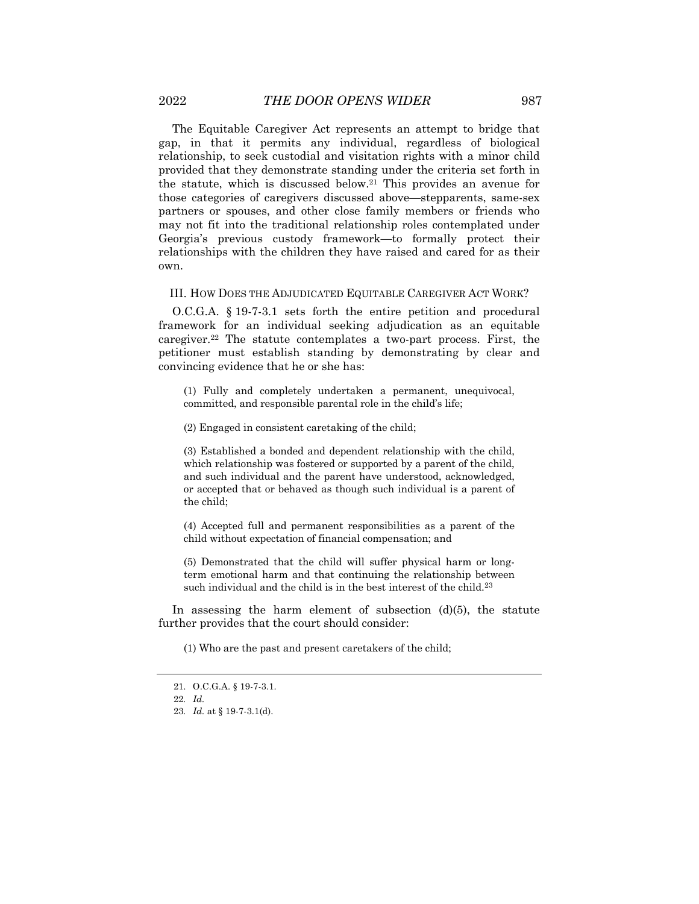The Equitable Caregiver Act represents an attempt to bridge that gap, in that it permits any individual, regardless of biological relationship, to seek custodial and visitation rights with a minor child provided that they demonstrate standing under the criteria set forth in the statute, which is discussed below.21 This provides an avenue for those categories of caregivers discussed above—stepparents, same-sex partners or spouses, and other close family members or friends who may not fit into the traditional relationship roles contemplated under Georgia's previous custody framework—to formally protect their relationships with the children they have raised and cared for as their own.

#### III. HOW DOES THE ADJUDICATED EQUITABLE CAREGIVER ACT WORK?

O.C.G.A. § 19-7-3.1 sets forth the entire petition and procedural framework for an individual seeking adjudication as an equitable caregiver.22 The statute contemplates a two-part process. First, the petitioner must establish standing by demonstrating by clear and convincing evidence that he or she has:

(1) Fully and completely undertaken a permanent, unequivocal, committed, and responsible parental role in the child's life;

(2) Engaged in consistent caretaking of the child;

(3) Established a bonded and dependent relationship with the child, which relationship was fostered or supported by a parent of the child, and such individual and the parent have understood, acknowledged, or accepted that or behaved as though such individual is a parent of the child;

(4) Accepted full and permanent responsibilities as a parent of the child without expectation of financial compensation; and

(5) Demonstrated that the child will suffer physical harm or longterm emotional harm and that continuing the relationship between such individual and the child is in the best interest of the child.<sup>23</sup>

In assessing the harm element of subsection  $(d)(5)$ , the statute further provides that the court should consider:

(1) Who are the past and present caretakers of the child;

<sup>21.</sup> O.C.G.A. § 19-7-3.1.

<sup>22</sup>*. Id.*

<sup>23</sup>*. Id.* at § 19-7-3.1(d).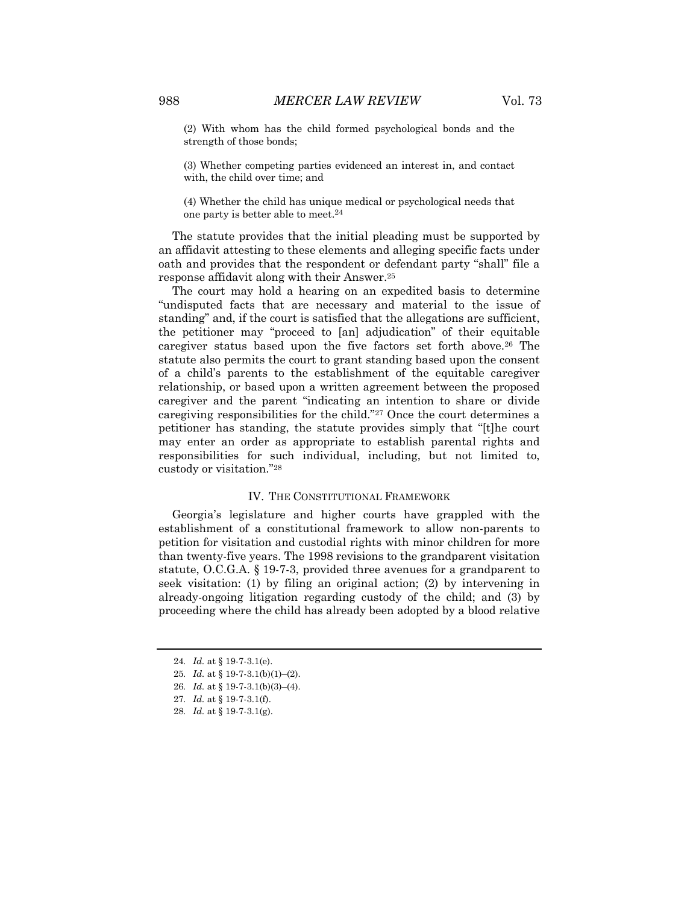(2) With whom has the child formed psychological bonds and the strength of those bonds;

(3) Whether competing parties evidenced an interest in, and contact with, the child over time; and

(4) Whether the child has unique medical or psychological needs that one party is better able to meet.24

The statute provides that the initial pleading must be supported by an affidavit attesting to these elements and alleging specific facts under oath and provides that the respondent or defendant party "shall" file a response affidavit along with their Answer.25

The court may hold a hearing on an expedited basis to determine "undisputed facts that are necessary and material to the issue of standing" and, if the court is satisfied that the allegations are sufficient, the petitioner may "proceed to [an] adjudication" of their equitable caregiver status based upon the five factors set forth above.26 The statute also permits the court to grant standing based upon the consent of a child's parents to the establishment of the equitable caregiver relationship, or based upon a written agreement between the proposed caregiver and the parent "indicating an intention to share or divide caregiving responsibilities for the child."27 Once the court determines a petitioner has standing, the statute provides simply that "[t]he court may enter an order as appropriate to establish parental rights and responsibilities for such individual, including, but not limited to, custody or visitation."28

#### IV. THE CONSTITUTIONAL FRAMEWORK

Georgia's legislature and higher courts have grappled with the establishment of a constitutional framework to allow non-parents to petition for visitation and custodial rights with minor children for more than twenty-five years. The 1998 revisions to the grandparent visitation statute, O.C.G.A. § 19-7-3, provided three avenues for a grandparent to seek visitation: (1) by filing an original action; (2) by intervening in already-ongoing litigation regarding custody of the child; and (3) by proceeding where the child has already been adopted by a blood relative

27*. Id.* at § 19-7-3.1(f).

<sup>24</sup>*. Id.* at § 19-7-3.1(e).

<sup>25</sup>*. Id.* at § 19-7-3.1(b)(1)–(2).

<sup>26</sup>*. Id.* at § 19-7-3.1(b)(3)–(4).

<sup>28</sup>*. Id.* at § 19-7-3.1(g).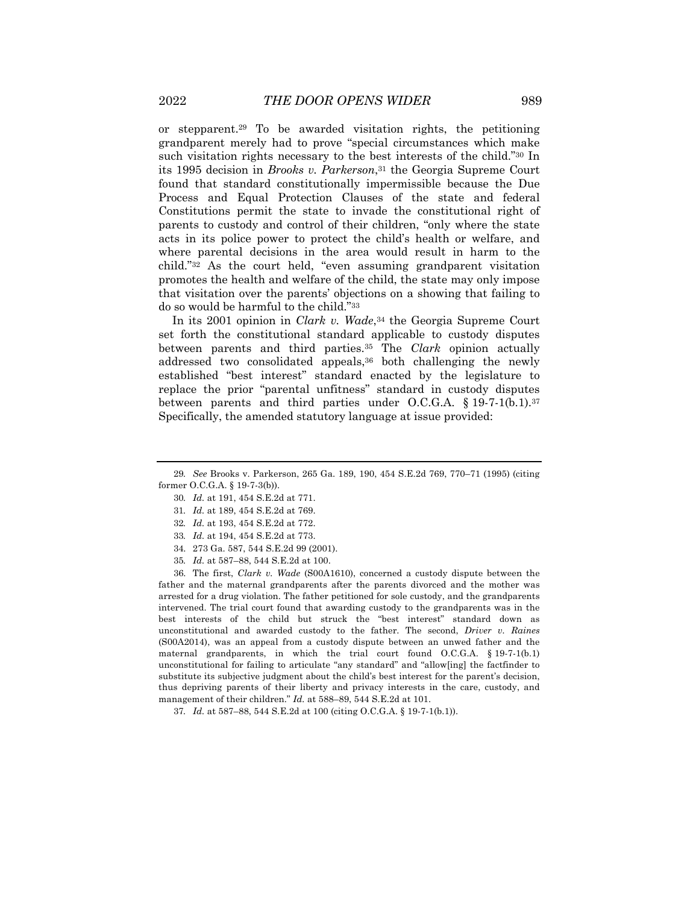or stepparent.29 To be awarded visitation rights, the petitioning grandparent merely had to prove "special circumstances which make such visitation rights necessary to the best interests of the child."30 In its 1995 decision in *Brooks v. Parkerson*,31 the Georgia Supreme Court found that standard constitutionally impermissible because the Due Process and Equal Protection Clauses of the state and federal Constitutions permit the state to invade the constitutional right of parents to custody and control of their children, "only where the state acts in its police power to protect the child's health or welfare, and where parental decisions in the area would result in harm to the child."32 As the court held, "even assuming grandparent visitation promotes the health and welfare of the child, the state may only impose that visitation over the parents' objections on a showing that failing to do so would be harmful to the child."33

In its 2001 opinion in *Clark v. Wade*,34 the Georgia Supreme Court set forth the constitutional standard applicable to custody disputes between parents and third parties.35 The *Clark* opinion actually addressed two consolidated appeals,36 both challenging the newly established "best interest" standard enacted by the legislature to replace the prior "parental unfitness" standard in custody disputes between parents and third parties under O.C.G.A.  $\S 19-7-1(b,1).37$ Specifically, the amended statutory language at issue provided:

- 31*. Id.* at 189, 454 S.E.2d at 769.
- 32*. Id.* at 193, 454 S.E.2d at 772.
- 33*. Id.* at 194, 454 S.E.2d at 773.
- 34. 273 Ga. 587, 544 S.E.2d 99 (2001).
- 35*. Id.* at 587–88, 544 S.E.2d at 100.

36. The first, *Clark v. Wade* (S00A1610), concerned a custody dispute between the father and the maternal grandparents after the parents divorced and the mother was arrested for a drug violation. The father petitioned for sole custody, and the grandparents intervened. The trial court found that awarding custody to the grandparents was in the best interests of the child but struck the "best interest" standard down as unconstitutional and awarded custody to the father. The second, *Driver v. Raines* (S00A2014), was an appeal from a custody dispute between an unwed father and the maternal grandparents, in which the trial court found O.C.G.A. § 19-7-1(b.1) unconstitutional for failing to articulate "any standard" and "allow[ing] the factfinder to substitute its subjective judgment about the child's best interest for the parent's decision, thus depriving parents of their liberty and privacy interests in the care, custody, and management of their children." *Id.* at 588–89, 544 S.E.2d at 101.

37*. Id.* at 587–88, 544 S.E.2d at 100 (citing O.C.G.A. § 19-7-1(b.1)).

<sup>29</sup>*. See* Brooks v. Parkerson, 265 Ga. 189, 190, 454 S.E.2d 769, 770–71 (1995) (citing former O.C.G.A. § 19-7-3(b)).

<sup>30</sup>*. Id.* at 191, 454 S.E.2d at 771.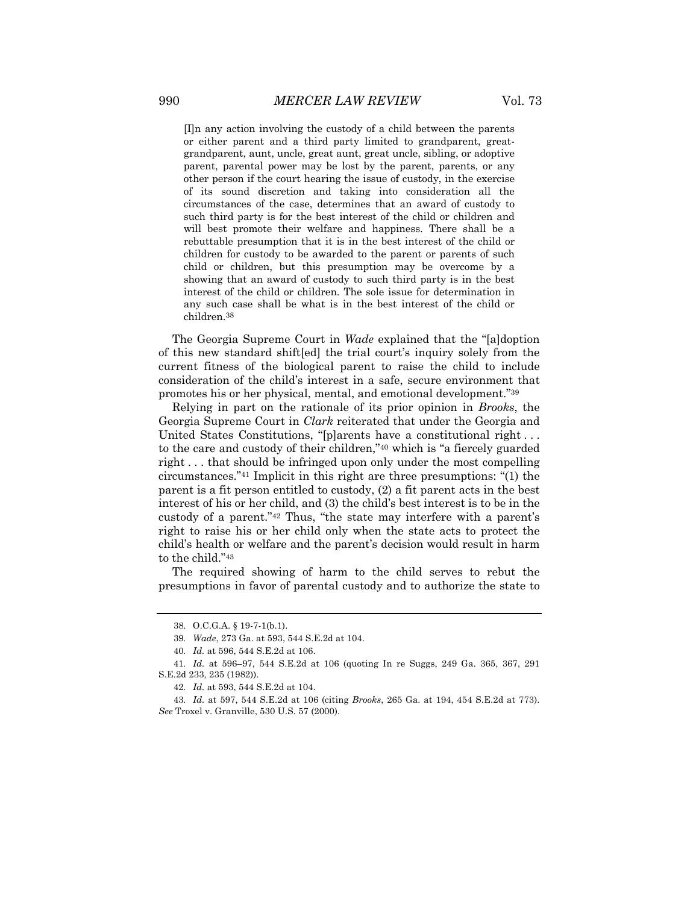[I]n any action involving the custody of a child between the parents or either parent and a third party limited to grandparent, greatgrandparent, aunt, uncle, great aunt, great uncle, sibling, or adoptive parent, parental power may be lost by the parent, parents, or any other person if the court hearing the issue of custody, in the exercise of its sound discretion and taking into consideration all the circumstances of the case, determines that an award of custody to such third party is for the best interest of the child or children and will best promote their welfare and happiness. There shall be a rebuttable presumption that it is in the best interest of the child or children for custody to be awarded to the parent or parents of such child or children, but this presumption may be overcome by a showing that an award of custody to such third party is in the best interest of the child or children. The sole issue for determination in any such case shall be what is in the best interest of the child or children.38

The Georgia Supreme Court in *Wade* explained that the "[a]doption of this new standard shift[ed] the trial court's inquiry solely from the current fitness of the biological parent to raise the child to include consideration of the child's interest in a safe, secure environment that promotes his or her physical, mental, and emotional development."39

Relying in part on the rationale of its prior opinion in *Brooks*, the Georgia Supreme Court in *Clark* reiterated that under the Georgia and United States Constitutions, "[p]arents have a constitutional right . . . to the care and custody of their children,"40 which is "a fiercely guarded right . . . that should be infringed upon only under the most compelling circumstances."41 Implicit in this right are three presumptions: "(1) the parent is a fit person entitled to custody, (2) a fit parent acts in the best interest of his or her child, and (3) the child's best interest is to be in the custody of a parent."42 Thus, "the state may interfere with a parent's right to raise his or her child only when the state acts to protect the child's health or welfare and the parent's decision would result in harm to the child."43

The required showing of harm to the child serves to rebut the presumptions in favor of parental custody and to authorize the state to

<sup>38.</sup> O.C.G.A. § 19-7-1(b.1).

<sup>39</sup>*. Wade*, 273 Ga. at 593, 544 S.E.2d at 104.

<sup>40</sup>*. Id.* at 596, 544 S.E.2d at 106.

<sup>41</sup>*. Id.* at 596–97, 544 S.E.2d at 106 (quoting In re Suggs, 249 Ga. 365, 367, 291 S.E.2d 233, 235 (1982)).

<sup>42</sup>*. Id.* at 593, 544 S.E.2d at 104.

<sup>43</sup>*. Id.* at 597, 544 S.E.2d at 106 (citing *Brooks*, 265 Ga. at 194, 454 S.E.2d at 773). *See* Troxel v. Granville, 530 U.S. 57 (2000).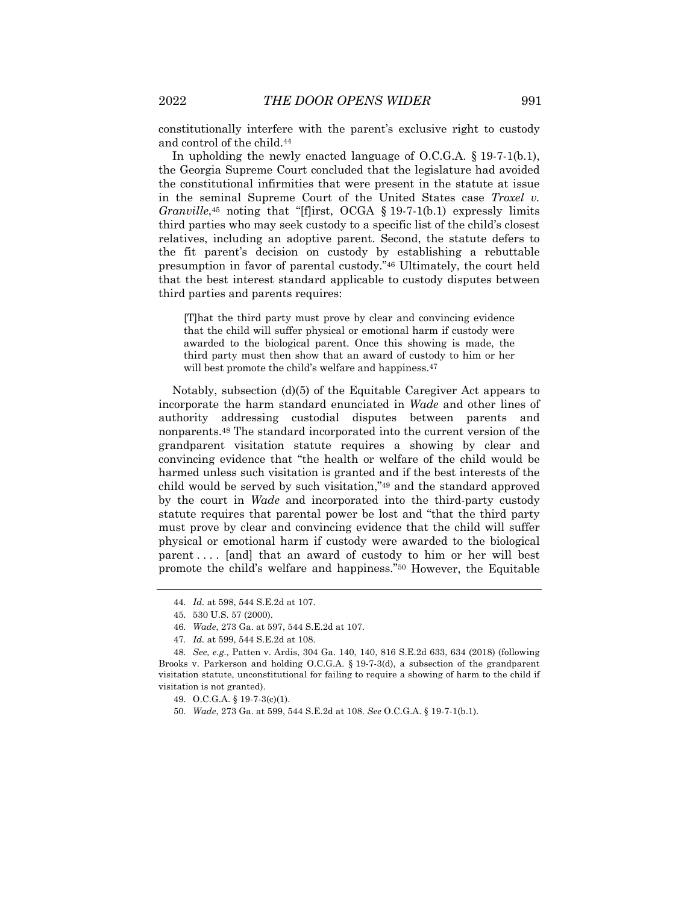constitutionally interfere with the parent's exclusive right to custody and control of the child.44

In upholding the newly enacted language of O.C.G.A. § 19-7-1(b.1), the Georgia Supreme Court concluded that the legislature had avoided the constitutional infirmities that were present in the statute at issue in the seminal Supreme Court of the United States case *Troxel v. Granville*,<sup>45</sup> noting that "[f]irst, OCGA § 19-7-1(b.1) expressly limits third parties who may seek custody to a specific list of the child's closest relatives, including an adoptive parent. Second, the statute defers to the fit parent's decision on custody by establishing a rebuttable presumption in favor of parental custody."46 Ultimately, the court held that the best interest standard applicable to custody disputes between third parties and parents requires:

[T]hat the third party must prove by clear and convincing evidence that the child will suffer physical or emotional harm if custody were awarded to the biological parent. Once this showing is made, the third party must then show that an award of custody to him or her will best promote the child's welfare and happiness.<sup>47</sup>

Notably, subsection (d)(5) of the Equitable Caregiver Act appears to incorporate the harm standard enunciated in *Wade* and other lines of authority addressing custodial disputes between parents and nonparents.48 The standard incorporated into the current version of the grandparent visitation statute requires a showing by clear and convincing evidence that "the health or welfare of the child would be harmed unless such visitation is granted and if the best interests of the child would be served by such visitation,"49 and the standard approved by the court in *Wade* and incorporated into the third-party custody statute requires that parental power be lost and "that the third party must prove by clear and convincing evidence that the child will suffer physical or emotional harm if custody were awarded to the biological parent . . . . [and] that an award of custody to him or her will best promote the child's welfare and happiness."50 However, the Equitable

<sup>44</sup>*. Id.* at 598, 544 S.E.2d at 107.

<sup>45.</sup> 530 U.S. 57 (2000).

<sup>46</sup>*. Wade*, 273 Ga. at 597, 544 S.E.2d at 107.

<sup>47</sup>*. Id.* at 599, 544 S.E.2d at 108.

<sup>48</sup>*. See, e.g.,* Patten v. Ardis, 304 Ga. 140, 140, 816 S.E.2d 633, 634 (2018) (following Brooks v. Parkerson and holding O.C.G.A. § 19-7-3(d), a subsection of the grandparent visitation statute, unconstitutional for failing to require a showing of harm to the child if visitation is not granted).

<sup>49.</sup> O.C.G.A. § 19-7-3(c)(1).

<sup>50</sup>*. Wade*, 273 Ga. at 599, 544 S.E.2d at 108. *See* O.C.G.A. § 19-7-1(b.1).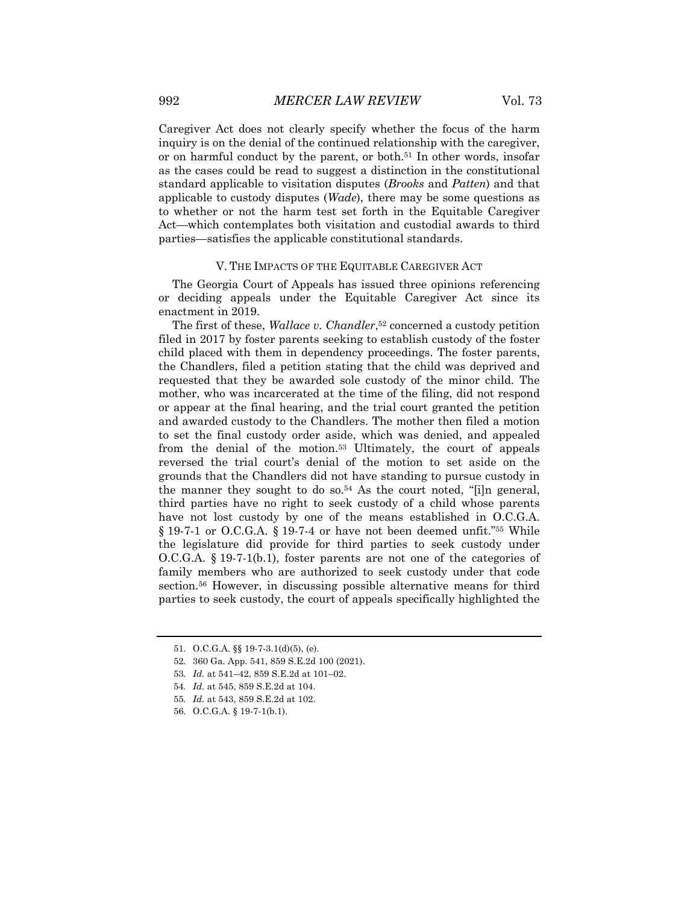Caregiver Act does not clearly specify whether the focus of the harm inquiry is on the denial of the continued relationship with the caregiver, or on harmful conduct by the parent, or both.51 In other words, insofar as the cases could be read to suggest a distinction in the constitutional standard applicable to visitation disputes (*Brooks* and *Patten*) and that applicable to custody disputes (*Wade*), there may be some questions as to whether or not the harm test set forth in the Equitable Caregiver Act—which contemplates both visitation and custodial awards to third parties—satisfies the applicable constitutional standards.

#### V. THE IMPACTS OF THE EQUITABLE CAREGIVER ACT

The Georgia Court of Appeals has issued three opinions referencing or deciding appeals under the Equitable Caregiver Act since its enactment in 2019.

The first of these, *Wallace v. Chandler*,52 concerned a custody petition filed in 2017 by foster parents seeking to establish custody of the foster child placed with them in dependency proceedings. The foster parents, the Chandlers, filed a petition stating that the child was deprived and requested that they be awarded sole custody of the minor child. The mother, who was incarcerated at the time of the filing, did not respond or appear at the final hearing, and the trial court granted the petition and awarded custody to the Chandlers. The mother then filed a motion to set the final custody order aside, which was denied, and appealed from the denial of the motion.53 Ultimately, the court of appeals reversed the trial court's denial of the motion to set aside on the grounds that the Chandlers did not have standing to pursue custody in the manner they sought to do so.54 As the court noted, "[i]n general, third parties have no right to seek custody of a child whose parents have not lost custody by one of the means established in O.C.G.A. § 19-7-1 or O.C.G.A. § 19-7-4 or have not been deemed unfit."55 While the legislature did provide for third parties to seek custody under O.C.G.A. § 19-7-1(b.1), foster parents are not one of the categories of family members who are authorized to seek custody under that code section.<sup>56</sup> However, in discussing possible alternative means for third parties to seek custody, the court of appeals specifically highlighted the

- 52. 360 Ga. App. 541, 859 S.E.2d 100 (2021).
- 53*. Id.* at 541–42, 859 S.E.2d at 101–02.
- 54*. Id.* at 545, 859 S.E.2d at 104.
- 55*. Id.* at 543, 859 S.E.2d at 102.

<sup>51.</sup> O.C.G.A. §§ 19-7-3.1(d)(5), (e).

<sup>56.</sup> O.C.G.A. § 19-7-1(b.1).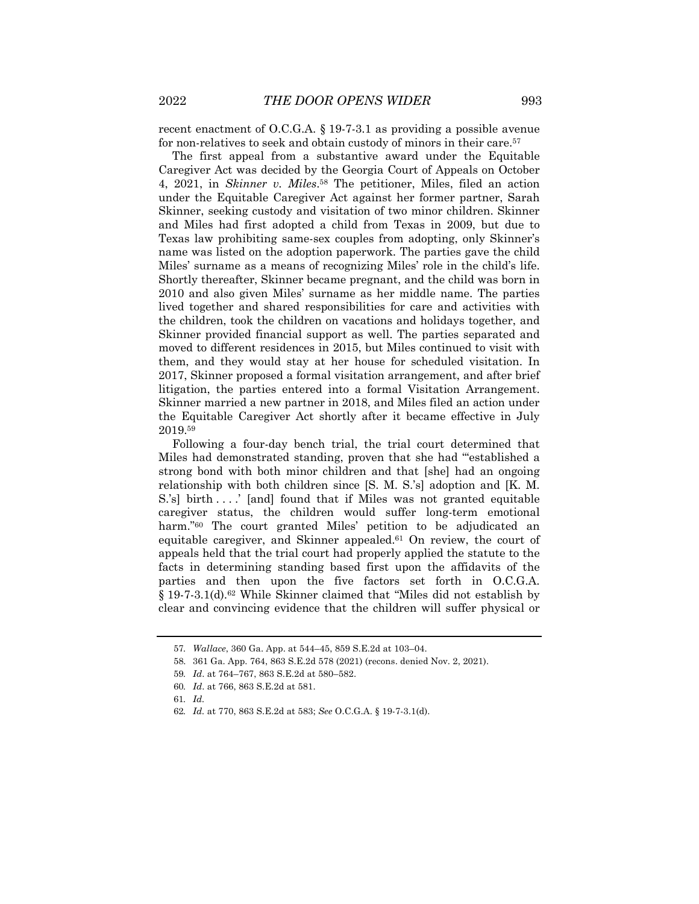recent enactment of O.C.G.A. § 19-7-3.1 as providing a possible avenue for non-relatives to seek and obtain custody of minors in their care.57

The first appeal from a substantive award under the Equitable Caregiver Act was decided by the Georgia Court of Appeals on October 4, 2021, in *Skinner v. Miles*.58 The petitioner, Miles, filed an action under the Equitable Caregiver Act against her former partner, Sarah Skinner, seeking custody and visitation of two minor children. Skinner and Miles had first adopted a child from Texas in 2009, but due to Texas law prohibiting same-sex couples from adopting, only Skinner's name was listed on the adoption paperwork. The parties gave the child Miles' surname as a means of recognizing Miles' role in the child's life. Shortly thereafter, Skinner became pregnant, and the child was born in 2010 and also given Miles' surname as her middle name. The parties lived together and shared responsibilities for care and activities with the children, took the children on vacations and holidays together, and Skinner provided financial support as well. The parties separated and moved to different residences in 2015, but Miles continued to visit with them, and they would stay at her house for scheduled visitation. In 2017, Skinner proposed a formal visitation arrangement, and after brief litigation, the parties entered into a formal Visitation Arrangement. Skinner married a new partner in 2018, and Miles filed an action under the Equitable Caregiver Act shortly after it became effective in July 2019.59

Following a four-day bench trial, the trial court determined that Miles had demonstrated standing, proven that she had "'established a strong bond with both minor children and that [she] had an ongoing relationship with both children since [S. M. S.'s] adoption and [K. M. S.'s] birth ....' [and] found that if Miles was not granted equitable caregiver status, the children would suffer long-term emotional harm."60 The court granted Miles' petition to be adjudicated an equitable caregiver, and Skinner appealed.61 On review, the court of appeals held that the trial court had properly applied the statute to the facts in determining standing based first upon the affidavits of the parties and then upon the five factors set forth in O.C.G.A. § 19-7-3.1(d).62 While Skinner claimed that "Miles did not establish by clear and convincing evidence that the children will suffer physical or

<sup>57</sup>*. Wallace*, 360 Ga. App. at 544–45, 859 S.E.2d at 103–04.

<sup>58.</sup> 361 Ga. App. 764, 863 S.E.2d 578 (2021) (recons. denied Nov. 2, 2021).

<sup>59</sup>*. Id*. at 764–767, 863 S.E.2d at 580–582.

<sup>60</sup>*. Id*. at 766, 863 S.E.2d at 581.

<sup>61</sup>*. Id.*

<sup>62</sup>*. Id.* at 770, 863 S.E.2d at 583; *See* O.C.G.A. § 19-7-3.1(d).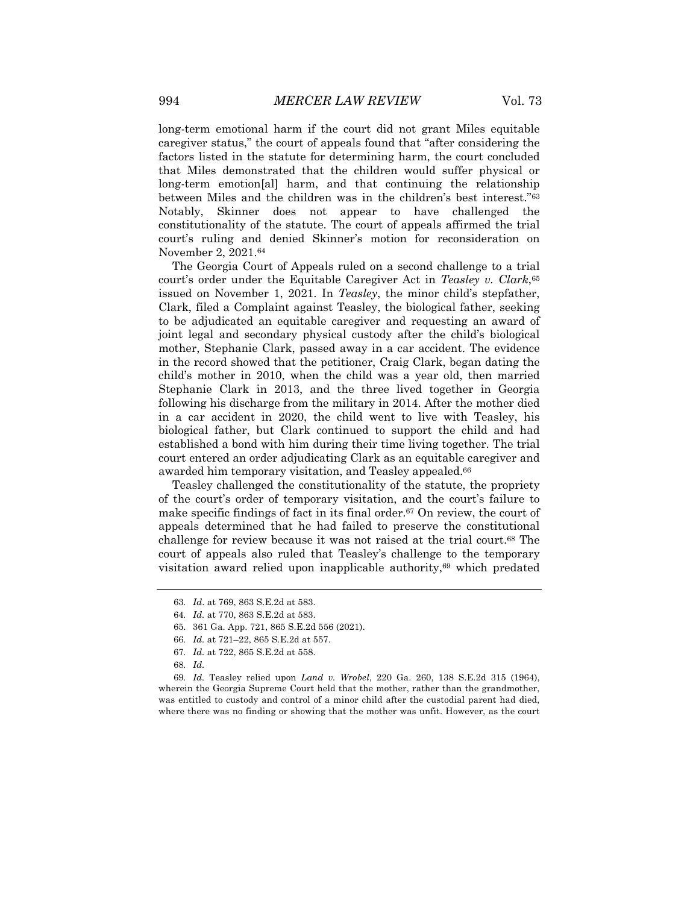long-term emotional harm if the court did not grant Miles equitable caregiver status," the court of appeals found that "after considering the factors listed in the statute for determining harm, the court concluded that Miles demonstrated that the children would suffer physical or long-term emotion[al] harm, and that continuing the relationship between Miles and the children was in the children's best interest."63 Notably, Skinner does not appear to have challenged the constitutionality of the statute. The court of appeals affirmed the trial court's ruling and denied Skinner's motion for reconsideration on November 2, 2021.64

The Georgia Court of Appeals ruled on a second challenge to a trial court's order under the Equitable Caregiver Act in *Teasley v. Clark*,65 issued on November 1, 2021. In *Teasley*, the minor child's stepfather, Clark, filed a Complaint against Teasley, the biological father, seeking to be adjudicated an equitable caregiver and requesting an award of joint legal and secondary physical custody after the child's biological mother, Stephanie Clark, passed away in a car accident. The evidence in the record showed that the petitioner, Craig Clark, began dating the child's mother in 2010, when the child was a year old, then married Stephanie Clark in 2013, and the three lived together in Georgia following his discharge from the military in 2014. After the mother died in a car accident in 2020, the child went to live with Teasley, his biological father, but Clark continued to support the child and had established a bond with him during their time living together. The trial court entered an order adjudicating Clark as an equitable caregiver and awarded him temporary visitation, and Teasley appealed.<sup>66</sup>

Teasley challenged the constitutionality of the statute, the propriety of the court's order of temporary visitation, and the court's failure to make specific findings of fact in its final order.67 On review, the court of appeals determined that he had failed to preserve the constitutional challenge for review because it was not raised at the trial court.68 The court of appeals also ruled that Teasley's challenge to the temporary visitation award relied upon inapplicable authority,<sup>69</sup> which predated

66*. Id.* at 721–22, 865 S.E.2d at 557.

69*. Id.* Teasley relied upon *Land v. Wrobel*, 220 Ga. 260, 138 S.E.2d 315 (1964), wherein the Georgia Supreme Court held that the mother, rather than the grandmother, was entitled to custody and control of a minor child after the custodial parent had died, where there was no finding or showing that the mother was unfit. However, as the court

<sup>63</sup>*. Id*. at 769, 863 S.E.2d at 583.

<sup>64</sup>*. Id.* at 770, 863 S.E.2d at 583.

<sup>65.</sup> 361 Ga. App. 721, 865 S.E.2d 556 (2021).

<sup>67</sup>*. Id.* at 722, 865 S.E.2d at 558.

<sup>68</sup>*. Id.*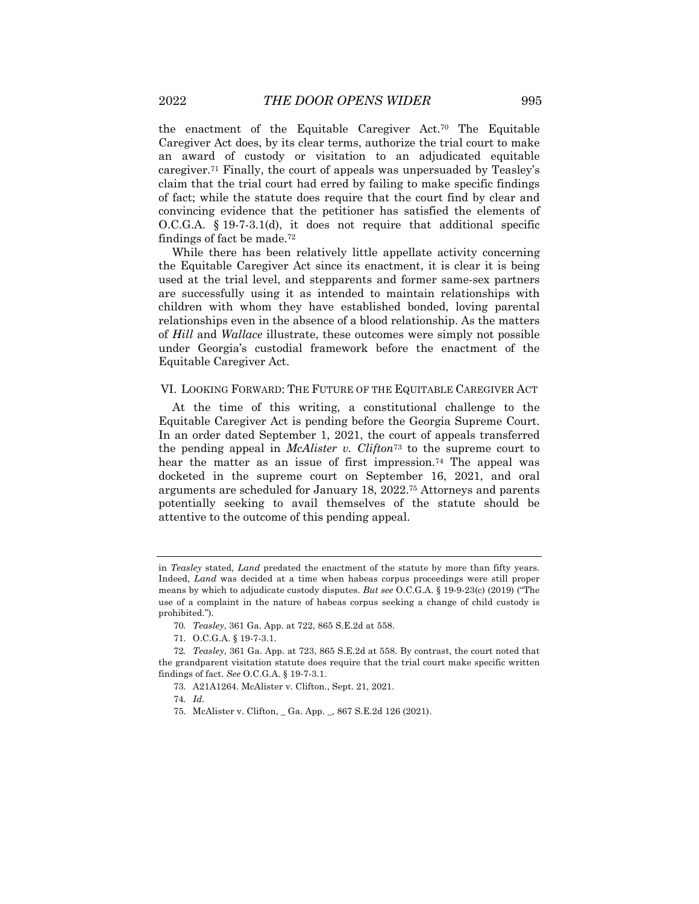the enactment of the Equitable Caregiver Act.70 The Equitable Caregiver Act does, by its clear terms, authorize the trial court to make an award of custody or visitation to an adjudicated equitable caregiver.71 Finally, the court of appeals was unpersuaded by Teasley's claim that the trial court had erred by failing to make specific findings of fact; while the statute does require that the court find by clear and convincing evidence that the petitioner has satisfied the elements of O.C.G.A. § 19-7-3.1(d), it does not require that additional specific findings of fact be made.72

While there has been relatively little appellate activity concerning the Equitable Caregiver Act since its enactment, it is clear it is being used at the trial level, and stepparents and former same-sex partners are successfully using it as intended to maintain relationships with children with whom they have established bonded, loving parental relationships even in the absence of a blood relationship. As the matters of *Hill* and *Wallace* illustrate, these outcomes were simply not possible under Georgia's custodial framework before the enactment of the Equitable Caregiver Act.

#### VI. LOOKING FORWARD: THE FUTURE OF THE EQUITABLE CAREGIVER ACT

At the time of this writing, a constitutional challenge to the Equitable Caregiver Act is pending before the Georgia Supreme Court. In an order dated September 1, 2021, the court of appeals transferred the pending appeal in *McAlister v. Clifton*<sup>73</sup> to the supreme court to hear the matter as an issue of first impression.74 The appeal was docketed in the supreme court on September 16, 2021, and oral arguments are scheduled for January 18, 2022.75 Attorneys and parents potentially seeking to avail themselves of the statute should be attentive to the outcome of this pending appeal.

in *Teasley* stated, *Land* predated the enactment of the statute by more than fifty years. Indeed, *Land* was decided at a time when habeas corpus proceedings were still proper means by which to adjudicate custody disputes. *But see* O.C.G.A. § 19-9-23(c) (2019) ("The use of a complaint in the nature of habeas corpus seeking a change of child custody is prohibited.").

<sup>70</sup>*. Teasley*, 361 Ga. App. at 722, 865 S.E.2d at 558.

<sup>71.</sup> O.C.G.A. § 19-7-3.1.

<sup>72</sup>*. Teasley*, 361 Ga. App. at 723, 865 S.E.2d at 558. By contrast, the court noted that the grandparent visitation statute does require that the trial court make specific written findings of fact. *See* O.C.G.A. § 19-7-3.1.

<sup>73.</sup> A21A1264. McAlister v. Clifton., Sept. 21, 2021.

<sup>74</sup>*. Id.*

<sup>75.</sup> McAlister v. Clifton, \_ Ga. App. \_, 867 S.E.2d 126 (2021).